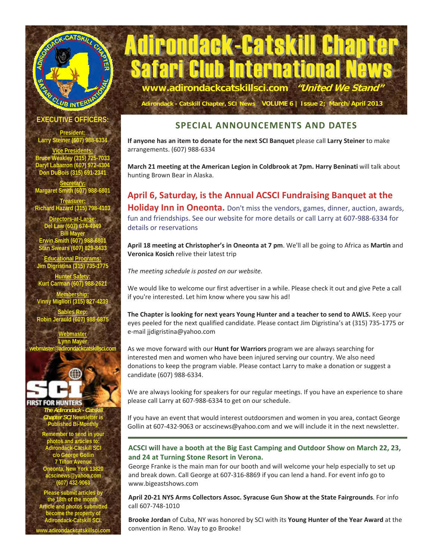



**Adirondack - Catskill Chapter, SCI News VOLUME 6 | Issue 2; March/April 2013**

### **EXECUTIVE OFFICERS**

**President: Larry Steiner (607) 988-6334** 

**Vice Presidents: Bruce Weakley (315) 725-7033 Daryl Labarron (607) 972-4304 Don DuBois (315) 691-2341** 

**Secretary: Margaret Smith (607) 988-6801** 

**Treasurer: Richard Hazard (315) 798-4103** 

**Directors-at-Large: Del Law (607) 674-4949 Bill May Erwin Smith (607) 988-6801 Stan Swears (607) 829-8433** 

**Educational Programs: Jim Digristina (315) 735-1775** 

**Hunter Safety: Kurt Carman (607) 988-**

**Membership: Vinny Migliori (315) 827-4239** 

**Sables Rep: Robin Jerauld (607) 988** 

**Webmaster Lynn May webmaster@adirondackcatskillsci.com** 

**FIRST FOR HUNTERS** *The Adirondack - Catskill Chapter SCI* **Newsletter is Published Bi-Monthly Remember to send in your photos and articles to: Adirondack-Catskill SCI c/o George Gollin 7 Tilton Avenue Oneonta, New York 13820 acscinews@yahoo.com (607) 432-9063 Pease submit article** 

the 18th of the mon **Article and photos sub become the property of Adirondack-Catskill SCI. www.adirondackcatskillsci.com** 

### **SPECIAL ANNOUNCEMENTS AND DATES**

**If anyone has an item to donate for the next SCI Banquet** please call **Larry Steiner** to make arrangements. (607) 988-6334

March 21 meeting at the American Legion in Coldbrook at 7pm. Harry Beninati will talk about hunting Brown Bear in Alaska.

**April 6, Saturday, is the Annual ACSCI Fundraising Banquet at the Holiday Inn in Oneonta.** Don't miss the vendors, games, dinner, auction, awards, fun and friendships. See our website for more details or call Larry at 607-988-6334 for details or reservations

**April 18 meeting at Christopher's in Oneonta at 7 pm**. We'll all be going to Africa as **Martin** and **Veronica Kosich** relive their latest trip

*The meeting schedule is posted on our website.* 

We would like to welcome our first advertiser in a while. Please check it out and give Pete a call if you're interested. Let him know where you saw his ad!

**The Chapter is looking for next years Young Hunter and a teacher to send to AWLS.** Keep your eyes peeled for the next qualified candidate. Please contact Jim Digristina's at (315) 735-1775 or e-mail jjdigristina@yahoo.com

As we move forward with our **Hunt for Warriors** program we are always searching for interested men and women who have been injured serving our country. We also need donations to keep the program viable. Please contact Larry to make a donation or suggest a candidate (607) 988-6334.

We are always looking for speakers for our regular meetings. If you have an experience to share please call Larry at 607-988-6334 to get on our schedule.

If you have an event that would interest outdoorsmen and women in you area, contact George Gollin at 607-432-9063 or acscinews@yahoo.com and we will include it in the next newsletter.

### **ACSCI will have a booth at the Big East Camping and Outdoor Show on March 22, 23, and 24 at Turning Stone Resort in Verona.**

George Franke is the main man for our booth and will welcome your help especially to set up and break down. Call George at 607-316-8869 if you can lend a hand. For event info go to www.bigeastshows.com

**April 20-21 NYS Arms Collectors Assoc. Syracuse Gun Show at the State Fairgrounds**. For info call 607-748-1010

**Brooke Jordan** of Cuba, NY was honored by SCI with its **Young Hunter of the Year Award** at the convention in Reno. Way to go Brooke!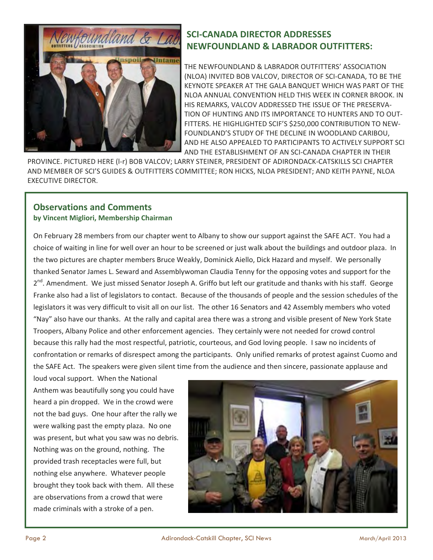

### **SCI-CANADA DIRECTOR ADDRESSES NEWFOUNDLAND & LABRADOR OUTFITTERS:**

THE NEWFOUNDLAND & LABRADOR OUTFITTERS' ASSOCIATION (NLOA) INVITED BOB VALCOV, DIRECTOR OF SCI-CANADA, TO BE THE KEYNOTE SPEAKER AT THE GALA BANQUET WHICH WAS PART OF THE NLOA ANNUAL CONVENTION HELD THIS WEEK IN CORNER BROOK. IN HIS REMARKS, VALCOV ADDRESSED THE ISSUE OF THE PRESERVA-TION OF HUNTING AND ITS IMPORTANCE TO HUNTERS AND TO OUT-FITTERS. HE HIGHLIGHTED SCIF'S \$250,000 CONTRIBUTION TO NEW-FOUNDLAND'S STUDY OF THE DECLINE IN WOODLAND CARIBOU, AND HE ALSO APPEALED TO PARTICIPANTS TO ACTIVELY SUPPORT SCI AND THE ESTABLISHMENT OF AN SCI-CANADA CHAPTER IN THEIR

PROVINCE. PICTURED HERE (l-r) BOB VALCOV; LARRY STEINER, PRESIDENT OF ADIRONDACK-CATSKILLS SCI CHAPTER AND MEMBER OF SCI'S GUIDES & OUTFITTERS COMMITTEE; RON HICKS, NLOA PRESIDENT; AND KEITH PAYNE, NLOA EXECUTIVE DIRECTOR.

### **Observations and Comments by Vincent Migliori, Membership Chairman**

On February 28 members from our chapter went to Albany to show our support against the SAFE ACT. You had a choice of waiting in line for well over an hour to be screened or just walk about the buildings and outdoor plaza. In the two pictures are chapter members Bruce Weakly, Dominick Aiello, Dick Hazard and myself. We personally thanked Senator James L. Seward and Assemblywoman Claudia Tenny for the opposing votes and support for the 2<sup>nd</sup>. Amendment. We just missed Senator Joseph A. Griffo but left our gratitude and thanks with his staff. George Franke also had a list of legislators to contact. Because of the thousands of people and the session schedules of the legislators it was very difficult to visit all on our list. The other 16 Senators and 42 Assembly members who voted "Nay" also have our thanks. At the rally and capital area there was a strong and visible present of New York State Troopers, Albany Police and other enforcement agencies. They certainly were not needed for crowd control because this rally had the most respectful, patriotic, courteous, and God loving people. I saw no incidents of confrontation or remarks of disrespect among the participants. Only unified remarks of protest against Cuomo and the SAFE Act. The speakers were given silent time from the audience and then sincere, passionate applause and

loud vocal support. When the National Anthem was beautifully song you could have heard a pin dropped. We in the crowd were not the bad guys. One hour after the rally we were walking past the empty plaza. No one was present, but what you saw was no debris. Nothing was on the ground, nothing. The provided trash receptacles were full, but nothing else anywhere. Whatever people brought they took back with them. All these are observations from a crowd that were made criminals with a stroke of a pen.

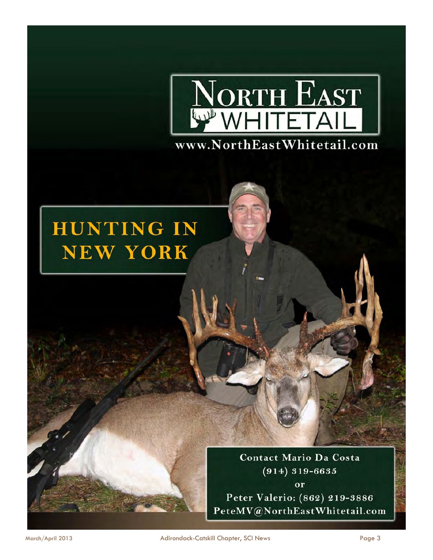

# **HUNTING IN NEW YORK**

**Contact Mario Da Costa**  $(914) 319 - 6635$ or Peter Valerio: (862) 219-3886 PeteMV@NorthEastWhitetail.com

March/April 2013 Adirondack-Catskill Chapter, SCI News Page 3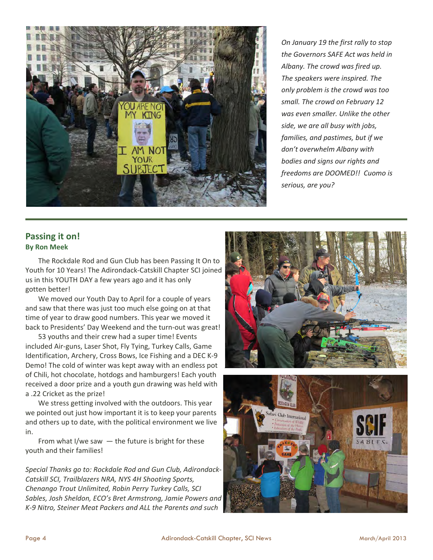

*On January 19 the first rally to stop the Governors SAFE Act was held in Albany. The crowd was fired up. The speakers were inspired. The only problem is the crowd was too small. The crowd on February 12 was even smaller. Unlike the other side, we are all busy with jobs, families, and pastimes, but if we don't overwhelm Albany with bodies and signs our rights and freedoms are DOOMED!! Cuomo is serious, are you?* 

### **Passing it on! By Ron Meek**

 The Rockdale Rod and Gun Club has been Passing It On to Youth for 10 Years! The Adirondack-Catskill Chapter SCI joined us in this YOUTH DAY a few years ago and it has only gotten better!

 We moved our Youth Day to April for a couple of years and saw that there was just too much else going on at that time of year to draw good numbers. This year we moved it back to Presidents' Day Weekend and the turn-out was great!

 53 youths and their crew had a super time! Events included Air-guns, Laser Shot, Fly Tying, Turkey Calls, Game Identification, Archery, Cross Bows, Ice Fishing and a DEC K-9 Demo! The cold of winter was kept away with an endless pot of Chili, hot chocolate, hotdogs and hamburgers! Each youth received a door prize and a youth gun drawing was held with a .22 Cricket as the prize!

 We stress getting involved with the outdoors. This year we pointed out just how important it is to keep your parents and others up to date, with the political environment we live in.

From what I/we saw  $-$  the future is bright for these youth and their families!

*Special Thanks go to: Rockdale Rod and Gun Club, Adirondack-Catskill SCI, Trailblazers NRA, NYS 4H Shooting Sports, Chenango Trout Unlimited, Robin Perry Turkey Calls, SCI Sables, Josh Sheldon, ECO's Bret Armstrong, Jamie Powers and K-9 Nitro, Steiner Meat Packers and ALL the Parents and such* 



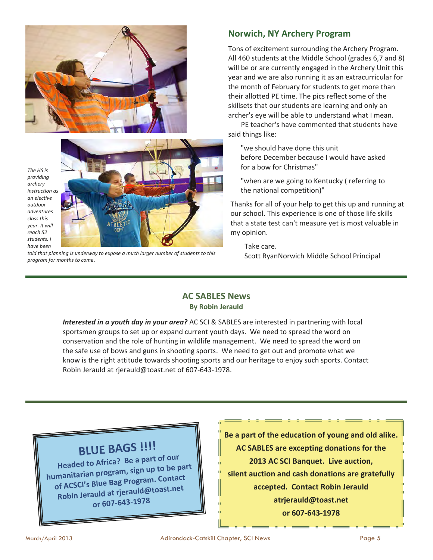

*The HS is providing archery instruction as an elective outdoor adventures class this year. It will reach 52 students. I have been* 



*told that planning is underway to expose a much larger number of students to this program for months to come*.

### **Norwich, NY Archery Program**

Tons of excitement surrounding the Archery Program. All 460 students at the Middle School (grades 6,7 and 8) will be or are currently engaged in the Archery Unit this year and we are also running it as an extracurricular for the month of February for students to get more than their allotted PE time. The pics reflect some of the skillsets that our students are learning and only an archer's eye will be able to understand what I mean.

 PE teacher's have commented that students have said things like:

"we should have done this unit before December because I would have asked for a bow for Christmas"

"when are we going to Kentucky ( referring to the national competition)"

Thanks for all of your help to get this up and running at our school. This experience is one of those life skills that a state test can't measure yet is most valuable in my opinion.

 Take care. Scott RyanNorwich Middle School Principal

### **AC SABLES News By Robin Jerauld**

*Interested in a youth day in your area?* AC SCI & SABLES are interested in partnering with local sportsmen groups to set up or expand current youth days. We need to spread the word on conservation and the role of hunting in wildlife management. We need to spread the word on the safe use of bows and guns in shooting sports. We need to get out and promote what we know is the right attitude towards shooting sports and our heritage to enjoy such sports. Contact Robin Jerauld at rjerauld@toast.net of 607-643-1978.

# **BLUE BAGS !!!!**

**Headed to Africa? Be <sup>a</sup> part of our humanitarian program, sign up to be part of ACSCI's Blue Bag Program. Contact Robin Jerauld at rjerauld@toast.net or 607-643-1978**

**Be a part of the education of young and old alike. AC SABLES are excepting donations for the 2013 AC SCI Banquet. Live auction, silent auction and cash donations are gratefully accepted. Contact Robin Jerauld atrjerauld@toast.net or 607-643-1978**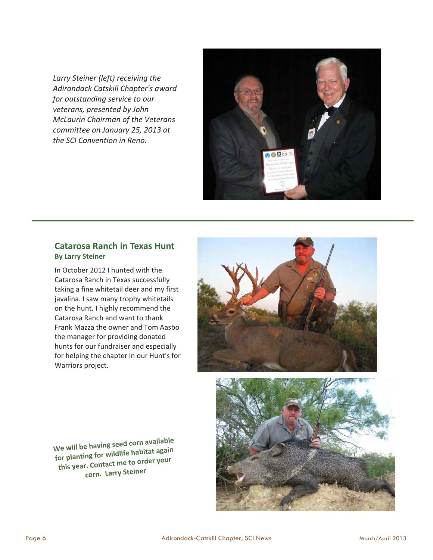*Larry Steiner (left) receiving the Adirondack Catskill Chapter's award for outstanding service to our veterans, presented by John McLaurin Chairman of the Veterans committee on January 25, 2013 at the SCI Convention in Reno.* 



### **Catarosa Ranch in Texas Hunt By Larry Steiner**

In October 2012 I hunted with the Catarosa Ranch in Texas successfully taking a fine whitetail deer and my first javalina. I saw many trophy whitetails on the hunt. I highly recommend the Catarosa Ranch and want to thank Frank Mazza the owner and Tom Aasbo the manager for providing donated hunts for our fundraiser and especially for helping the chapter in our Hunt's for Warriors project.



**We will be having seed corn available for <sup>p</sup>lanting for wildlife habitat again this year. Contact me to order your corn. Larry Steiner**

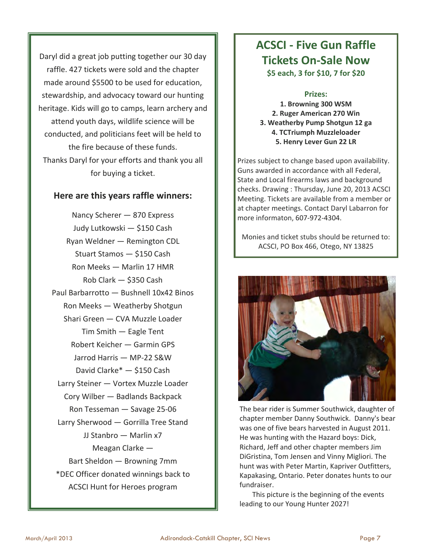Daryl did a great job putting together our 30 day raffle. 427 tickets were sold and the chapter made around \$5500 to be used for education, stewardship, and advocacy toward our hunting heritage. Kids will go to camps, learn archery and attend youth days, wildlife science will be conducted, and politicians feet will be held to the fire because of these funds. Thanks Daryl for your efforts and thank you all for buying a ticket.

### **Here are this years raffle winners:**

Nancy Scherer — 870 Express Judy Lutkowski — \$150 Cash Ryan Weldner — Remington CDL Stuart Stamos — \$150 Cash Ron Meeks — Marlin 17 HMR Rob Clark — \$350 Cash Paul Barbarrotto — Bushnell 10x42 Binos Ron Meeks — Weatherby Shotgun Shari Green — CVA Muzzle Loader Tim Smith — Eagle Tent Robert Keicher — Garmin GPS Jarrod Harris — MP-22 S&W David Clarke\* — \$150 Cash Larry Steiner — Vortex Muzzle Loader Cory Wilber — Badlands Backpack Ron Tesseman — Savage 25-06 Larry Sherwood — Gorrilla Tree Stand JJ Stanbro — Marlin x7 Meagan Clarke — Bart Sheldon — Browning 7mm \*DEC Officer donated winnings back to ACSCI Hunt for Heroes program

## **ACSCI - Five Gun Raffle Tickets On-Sale Now \$5 each, 3 for \$10, 7 for \$20**

**Prizes:** 

**1. Browning 300 WSM 2. Ruger American 270 Win 3. Weatherby Pump Shotgun 12 ga 4. TCTriumph Muzzleloader 5. Henry Lever Gun 22 LR** 

Prizes subject to change based upon availability. Guns awarded in accordance with all Federal, State and Local firearms laws and background checks. Drawing : Thursday, June 20, 2013 ACSCI Meeting. Tickets are available from a member or at chapter meetings. Contact Daryl Labarron for more informaton, 607-972-4304.

Monies and ticket stubs should be returned to: ACSCI, PO Box 466, Otego, NY 13825



The bear rider is Summer Southwick, daughter of chapter member Danny Southwick. Danny's bear was one of five bears harvested in August 2011. He was hunting with the Hazard boys: Dick, Richard, Jeff and other chapter members Jim DiGristina, Tom Jensen and Vinny Migliori. The hunt was with Peter Martin, Kapriver Outfitters, Kapakasing, Ontario. Peter donates hunts to our fundraiser.

 This picture is the beginning of the events leading to our Young Hunter 2027!